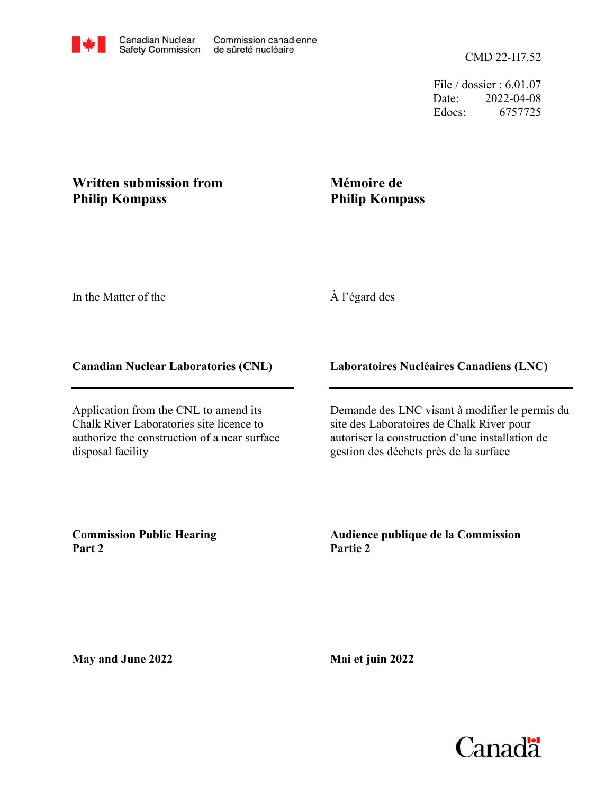File / dossier : 6.01.07 Date: 2022-04-08 Edocs: 6757725

# **Written submission from Philip Kompass**

# **Mémoire de Philip Kompass**

In the Matter of the

# À l'égard des

#### **Canadian Nuclear Laboratories (CNL)**

Application from the CNL to amend its Chalk River Laboratories site licence to authorize the construction of a near surface disposal facility

### **Laboratoires Nucléaires Canadiens (LNC)**

Demande des LNC visant à modifier le permis du site des Laboratoires de Chalk River pour autoriser la construction d'une installation de gestion des déchets près de la surface

**Commission Public Hearing Part 2**

**Audience publique de la Commission Partie 2**

**May and June 2022**

**Mai et juin 2022**

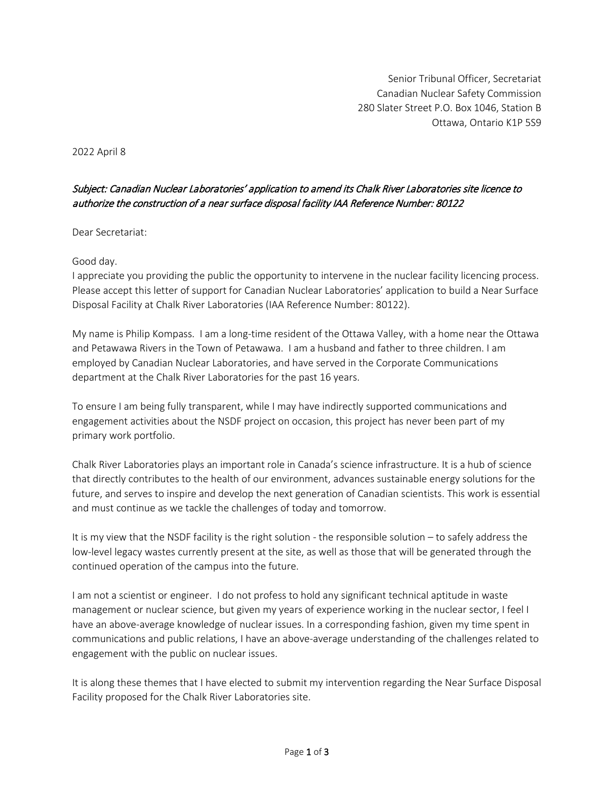Senior Tribunal Officer, Secretariat Canadian Nuclear Safety Commission 280 Slater Street P.O. Box 1046, Station B Ottawa, Ontario K1P 5S9

2022 April 8

#### Subject: Canadian Nuclear Laboratories' application to amend its Chalk River Laboratories site licence to authorize the construction of a near surface disposal facility IAA Reference Number: 80122

Dear Secretariat:

#### Good day.

I appreciate you providing the public the opportunity to intervene in the nuclear facility licencing process. Please accept this letter of support for Canadian Nuclear Laboratories' application to build a Near Surface Disposal Facility at Chalk River Laboratories (IAA Reference Number: 80122).

My name is Philip Kompass. I am a long-time resident of the Ottawa Valley, with a home near the Ottawa and Petawawa Rivers in the Town of Petawawa. I am a husband and father to three children. I am employed by Canadian Nuclear Laboratories, and have served in the Corporate Communications department at the Chalk River Laboratories for the past 16 years.

To ensure I am being fully transparent, while I may have indirectly supported communications and engagement activities about the NSDF project on occasion, this project has never been part of my primary work portfolio.

Chalk River Laboratories plays an important role in Canada's science infrastructure. It is a hub of science that directly contributes to the health of our environment, advances sustainable energy solutions for the future, and serves to inspire and develop the next generation of Canadian scientists. This work is essential and must continue as we tackle the challenges of today and tomorrow.

It is my view that the NSDF facility is the right solution - the responsible solution – to safely address the low-level legacy wastes currently present at the site, as well as those that will be generated through the continued operation of the campus into the future.

I am not a scientist or engineer. I do not profess to hold any significant technical aptitude in waste management or nuclear science, but given my years of experience working in the nuclear sector, I feel I have an above-average knowledge of nuclear issues. In a corresponding fashion, given my time spent in communications and public relations, I have an above-average understanding of the challenges related to engagement with the public on nuclear issues.

It is along these themes that I have elected to submit my intervention regarding the Near Surface Disposal Facility proposed for the Chalk River Laboratories site.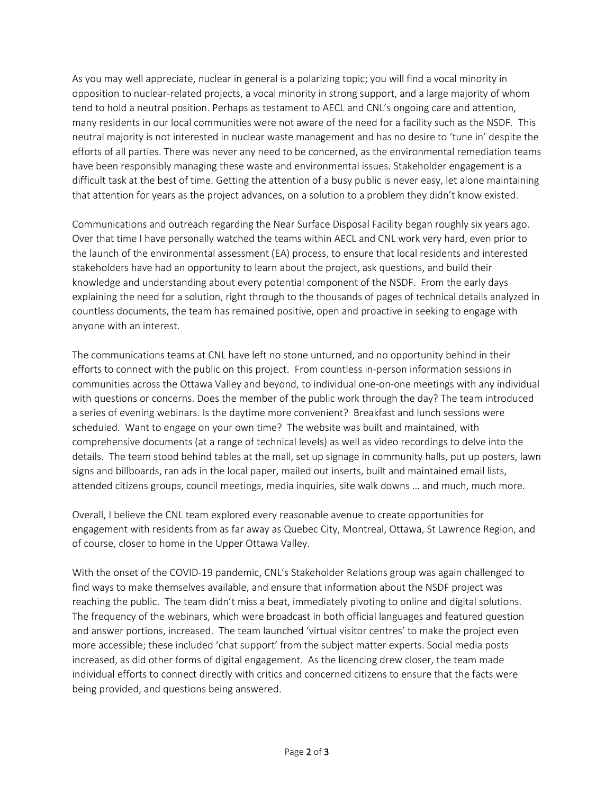As you may well appreciate, nuclear in general is a polarizing topic; you will find a vocal minority in opposition to nuclear-related projects, a vocal minority in strong support, and a large majority of whom tend to hold a neutral position. Perhaps as testament to AECL and CNL's ongoing care and attention, many residents in our local communities were not aware of the need for a facility such as the NSDF. This neutral majority is not interested in nuclear waste management and has no desire to 'tune in' despite the efforts of all parties. There was never any need to be concerned, as the environmental remediation teams have been responsibly managing these waste and environmental issues. Stakeholder engagement is a difficult task at the best of time. Getting the attention of a busy public is never easy, let alone maintaining that attention for years as the project advances, on a solution to a problem they didn't know existed.

Communications and outreach regarding the Near Surface Disposal Facility began roughly six years ago. Over that time I have personally watched the teams within AECL and CNL work very hard, even prior to the launch of the environmental assessment (EA) process, to ensure that local residents and interested stakeholders have had an opportunity to learn about the project, ask questions, and build their knowledge and understanding about every potential component of the NSDF. From the early days explaining the need for a solution, right through to the thousands of pages of technical details analyzed in countless documents, the team has remained positive, open and proactive in seeking to engage with anyone with an interest.

The communications teams at CNL have left no stone unturned, and no opportunity behind in their efforts to connect with the public on this project. From countless in-person information sessions in communities across the Ottawa Valley and beyond, to individual one-on-one meetings with any individual with questions or concerns. Does the member of the public work through the day? The team introduced a series of evening webinars. Is the daytime more convenient? Breakfast and lunch sessions were scheduled. Want to engage on your own time? The website was built and maintained, with comprehensive documents (at a range of technical levels) as well as video recordings to delve into the details. The team stood behind tables at the mall, set up signage in community halls, put up posters, lawn signs and billboards, ran ads in the local paper, mailed out inserts, built and maintained email lists, attended citizens groups, council meetings, media inquiries, site walk downs … and much, much more.

Overall, I believe the CNL team explored every reasonable avenue to create opportunities for engagement with residents from as far away as Quebec City, Montreal, Ottawa, St Lawrence Region, and of course, closer to home in the Upper Ottawa Valley.

With the onset of the COVID-19 pandemic, CNL's Stakeholder Relations group was again challenged to find ways to make themselves available, and ensure that information about the NSDF project was reaching the public. The team didn't miss a beat, immediately pivoting to online and digital solutions. The frequency of the webinars, which were broadcast in both official languages and featured question and answer portions, increased. The team launched 'virtual visitor centres' to make the project even more accessible; these included 'chat support' from the subject matter experts. Social media posts increased, as did other forms of digital engagement. As the licencing drew closer, the team made individual efforts to connect directly with critics and concerned citizens to ensure that the facts were being provided, and questions being answered.